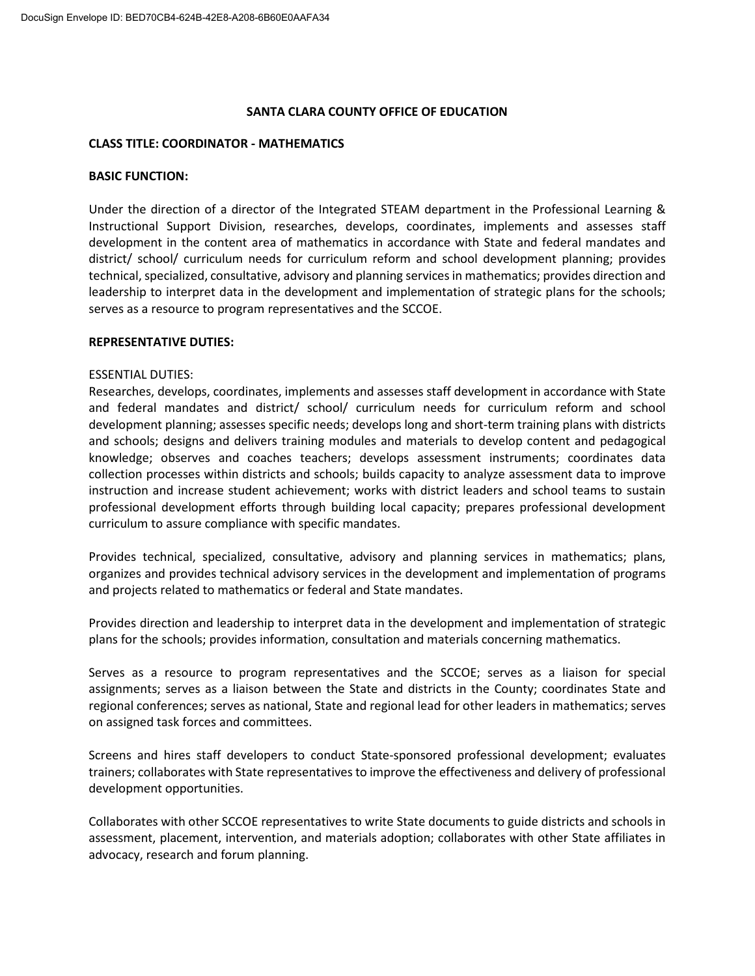### **SANTA CLARA COUNTY OFFICE OF EDUCATION**

### **CLASS TITLE: COORDINATOR - MATHEMATICS**

### **BASIC FUNCTION:**

Under the direction of a director of the Integrated STEAM department in the Professional Learning & Instructional Support Division, researches, develops, coordinates, implements and assesses staff development in the content area of mathematics in accordance with State and federal mandates and district/ school/ curriculum needs for curriculum reform and school development planning; provides technical, specialized, consultative, advisory and planning services in mathematics; provides direction and leadership to interpret data in the development and implementation of strategic plans for the schools; serves as a resource to program representatives and the SCCOE.

### **REPRESENTATIVE DUTIES:**

### ESSENTIAL DUTIES:

Researches, develops, coordinates, implements and assesses staff development in accordance with State and federal mandates and district/ school/ curriculum needs for curriculum reform and school development planning; assesses specific needs; develops long and short-term training plans with districts and schools; designs and delivers training modules and materials to develop content and pedagogical knowledge; observes and coaches teachers; develops assessment instruments; coordinates data collection processes within districts and schools; builds capacity to analyze assessment data to improve instruction and increase student achievement; works with district leaders and school teams to sustain professional development efforts through building local capacity; prepares professional development curriculum to assure compliance with specific mandates.

Provides technical, specialized, consultative, advisory and planning services in mathematics; plans, organizes and provides technical advisory services in the development and implementation of programs and projects related to mathematics or federal and State mandates.

Provides direction and leadership to interpret data in the development and implementation of strategic plans for the schools; provides information, consultation and materials concerning mathematics.

Serves as a resource to program representatives and the SCCOE; serves as a liaison for special assignments; serves as a liaison between the State and districts in the County; coordinates State and regional conferences; serves as national, State and regional lead for other leaders in mathematics; serves on assigned task forces and committees.

Screens and hires staff developers to conduct State-sponsored professional development; evaluates trainers; collaborates with State representatives to improve the effectiveness and delivery of professional development opportunities.

Collaborates with other SCCOE representatives to write State documents to guide districts and schools in assessment, placement, intervention, and materials adoption; collaborates with other State affiliates in advocacy, research and forum planning.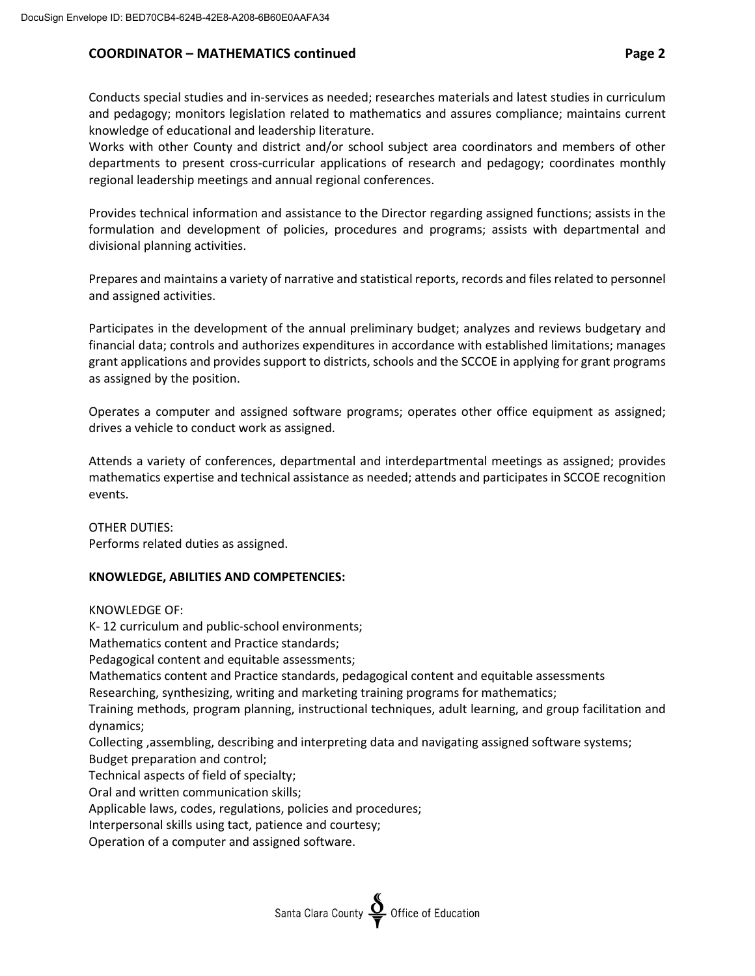## **COORDINATOR – MATHEMATICS continued Page 2**

Conducts special studies and in-services as needed; researches materials and latest studies in curriculum and pedagogy; monitors legislation related to mathematics and assures compliance; maintains current knowledge of educational and leadership literature.

Works with other County and district and/or school subject area coordinators and members of other departments to present cross-curricular applications of research and pedagogy; coordinates monthly regional leadership meetings and annual regional conferences.

Provides technical information and assistance to the Director regarding assigned functions; assists in the formulation and development of policies, procedures and programs; assists with departmental and divisional planning activities.

Prepares and maintains a variety of narrative and statistical reports, records and files related to personnel and assigned activities.

Participates in the development of the annual preliminary budget; analyzes and reviews budgetary and financial data; controls and authorizes expenditures in accordance with established limitations; manages grant applications and provides support to districts, schools and the SCCOE in applying for grant programs as assigned by the position.

Operates a computer and assigned software programs; operates other office equipment as assigned; drives a vehicle to conduct work as assigned.

Attends a variety of conferences, departmental and interdepartmental meetings as assigned; provides mathematics expertise and technical assistance as needed; attends and participates in SCCOE recognition events.

OTHER DUTIES: Performs related duties as assigned.

## **KNOWLEDGE, ABILITIES AND COMPETENCIES:**

KNOWLEDGE OF:

K- 12 curriculum and public-school environments; Mathematics content and Practice standards; Pedagogical content and equitable assessments; Mathematics content and Practice standards, pedagogical content and equitable assessments Researching, synthesizing, writing and marketing training programs for mathematics; Training methods, program planning, instructional techniques, adult learning, and group facilitation and dynamics; Collecting ,assembling, describing and interpreting data and navigating assigned software systems; Budget preparation and control; Technical aspects of field of specialty; Oral and written communication skills; Applicable laws, codes, regulations, policies and procedures; Interpersonal skills using tact, patience and courtesy; Operation of a computer and assigned software.

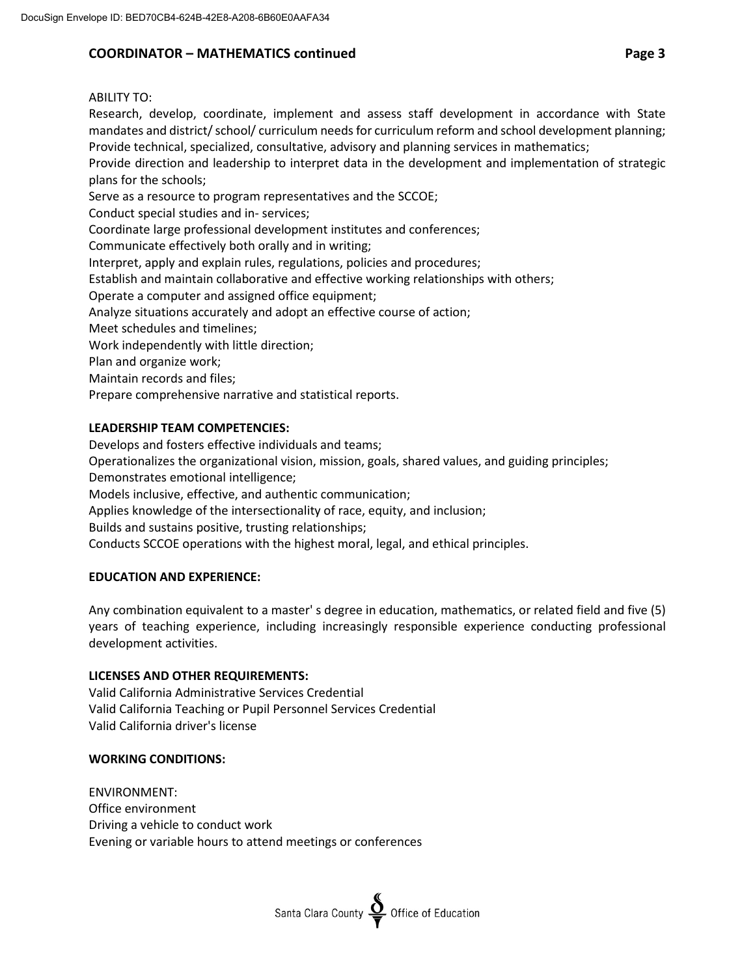# **COORDINATOR – MATHEMATICS continued Page 3**

## ABILITY TO:

Research, develop, coordinate, implement and assess staff development in accordance with State mandates and district/ school/ curriculum needs for curriculum reform and school development planning; Provide technical, specialized, consultative, advisory and planning services in mathematics;

Provide direction and leadership to interpret data in the development and implementation of strategic plans for the schools;

Serve as a resource to program representatives and the SCCOE;

Conduct special studies and in- services;

Coordinate large professional development institutes and conferences;

Communicate effectively both orally and in writing;

Interpret, apply and explain rules, regulations, policies and procedures;

Establish and maintain collaborative and effective working relationships with others;

Operate a computer and assigned office equipment;

Analyze situations accurately and adopt an effective course of action;

Meet schedules and timelines;

Work independently with little direction;

Plan and organize work;

Maintain records and files;

Prepare comprehensive narrative and statistical reports.

## **LEADERSHIP TEAM COMPETENCIES:**

Develops and fosters effective individuals and teams;

Operationalizes the organizational vision, mission, goals, shared values, and guiding principles;

Demonstrates emotional intelligence;

Models inclusive, effective, and authentic communication;

Applies knowledge of the intersectionality of race, equity, and inclusion;

Builds and sustains positive, trusting relationships;

Conducts SCCOE operations with the highest moral, legal, and ethical principles.

## **EDUCATION AND EXPERIENCE:**

Any combination equivalent to a master' s degree in education, mathematics, or related field and five (5) years of teaching experience, including increasingly responsible experience conducting professional development activities.

## **LICENSES AND OTHER REQUIREMENTS:**

Valid California Administrative Services Credential Valid California Teaching or Pupil Personnel Services Credential Valid California driver's license

## **WORKING CONDITIONS:**

ENVIRONMENT: Office environment Driving a vehicle to conduct work Evening or variable hours to attend meetings or conferences